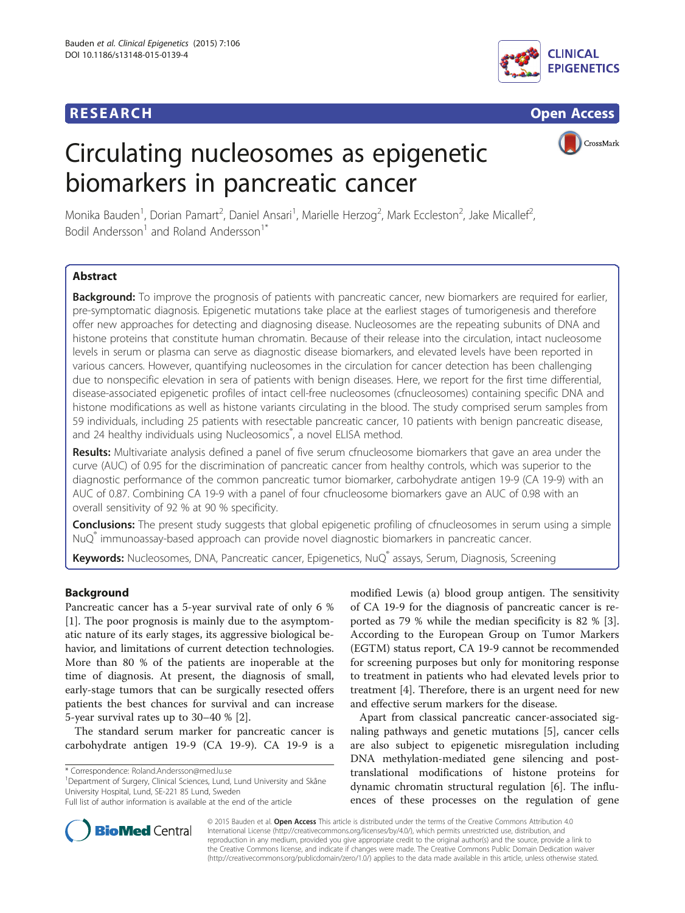## **RESEARCH RESEARCH** *CHECK CHECK CHECK CHECK CHECK CHECK CHECK CHECK CHECK CHECK CHECK CHECK CHECK CHECK CHECK CHECK CHECK CHECK CHECK CHECK CHECK CHECK CHECK CHECK CHECK CHECK CHECK CHECK CHECK CHECK CHECK CHECK CHECK*



# Circulating nucleosomes as epigenetic biomarkers in pancreatic cancer



Monika Bauden<sup>1</sup>, Dorian Pamart<sup>2</sup>, Daniel Ansari<sup>1</sup>, Marielle Herzog<sup>2</sup>, Mark Eccleston<sup>2</sup>, Jake Micallef<sup>2</sup> , Bodil Andersson<sup>1</sup> and Roland Andersson<sup>1\*</sup>

## Abstract

Background: To improve the prognosis of patients with pancreatic cancer, new biomarkers are required for earlier, pre-symptomatic diagnosis. Epigenetic mutations take place at the earliest stages of tumorigenesis and therefore offer new approaches for detecting and diagnosing disease. Nucleosomes are the repeating subunits of DNA and histone proteins that constitute human chromatin. Because of their release into the circulation, intact nucleosome levels in serum or plasma can serve as diagnostic disease biomarkers, and elevated levels have been reported in various cancers. However, quantifying nucleosomes in the circulation for cancer detection has been challenging due to nonspecific elevation in sera of patients with benign diseases. Here, we report for the first time differential, disease-associated epigenetic profiles of intact cell-free nucleosomes (cfnucleosomes) containing specific DNA and histone modifications as well as histone variants circulating in the blood. The study comprised serum samples from 59 individuals, including 25 patients with resectable pancreatic cancer, 10 patients with benign pancreatic disease, and 24 healthy individuals using Nucleosomics<sup>®</sup>, a novel ELISA method.

Results: Multivariate analysis defined a panel of five serum cfnucleosome biomarkers that gave an area under the curve (AUC) of 0.95 for the discrimination of pancreatic cancer from healthy controls, which was superior to the diagnostic performance of the common pancreatic tumor biomarker, carbohydrate antigen 19-9 (CA 19-9) with an AUC of 0.87. Combining CA 19-9 with a panel of four cfnucleosome biomarkers gave an AUC of 0.98 with an overall sensitivity of 92 % at 90 % specificity.

Conclusions: The present study suggests that global epigenetic profiling of cfnucleosomes in serum using a simple NuQ® immunoassay-based approach can provide novel diagnostic biomarkers in pancreatic cancer.

Keywords: Nucleosomes, DNA, Pancreatic cancer, Epigenetics, NuQ® assays, Serum, Diagnosis, Screening

## Background

Pancreatic cancer has a 5-year survival rate of only 6 % [[1\]](#page-5-0). The poor prognosis is mainly due to the asymptomatic nature of its early stages, its aggressive biological behavior, and limitations of current detection technologies. More than 80 % of the patients are inoperable at the time of diagnosis. At present, the diagnosis of small, early-stage tumors that can be surgically resected offers patients the best chances for survival and can increase 5-year survival rates up to 30–40 % [\[2\]](#page-5-0).

The standard serum marker for pancreatic cancer is carbohydrate antigen 19-9 (CA 19-9). CA 19-9 is a

<sup>1</sup>Department of Surgery, Clinical Sciences, Lund, Lund University and Skåne University Hospital, Lund, SE-221 85 Lund, Sweden

modified Lewis (a) blood group antigen. The sensitivity of CA 19-9 for the diagnosis of pancreatic cancer is reported as 79 % while the median specificity is 82 % [\[3](#page-5-0)]. According to the European Group on Tumor Markers (EGTM) status report, CA 19-9 cannot be recommended for screening purposes but only for monitoring response to treatment in patients who had elevated levels prior to treatment [[4\]](#page-5-0). Therefore, there is an urgent need for new and effective serum markers for the disease.

Apart from classical pancreatic cancer-associated signaling pathways and genetic mutations [[5\]](#page-5-0), cancer cells are also subject to epigenetic misregulation including DNA methylation-mediated gene silencing and posttranslational modifications of histone proteins for dynamic chromatin structural regulation [[6\]](#page-5-0). The influences of these processes on the regulation of gene



© 2015 Bauden et al. Open Access This article is distributed under the terms of the Creative Commons Attribution 4.0 International License [\(http://creativecommons.org/licenses/by/4.0/](http://creativecommons.org/licenses/by/4.0/)), which permits unrestricted use, distribution, and reproduction in any medium, provided you give appropriate credit to the original author(s) and the source, provide a link to the Creative Commons license, and indicate if changes were made. The Creative Commons Public Domain Dedication waiver [\(http://creativecommons.org/publicdomain/zero/1.0/](http://creativecommons.org/publicdomain/zero/1.0/)) applies to the data made available in this article, unless otherwise stated.

<sup>\*</sup> Correspondence: [Roland.Andersson@med.lu.se](mailto:Roland.Andersson@med.lu.se) <sup>1</sup>

Full list of author information is available at the end of the article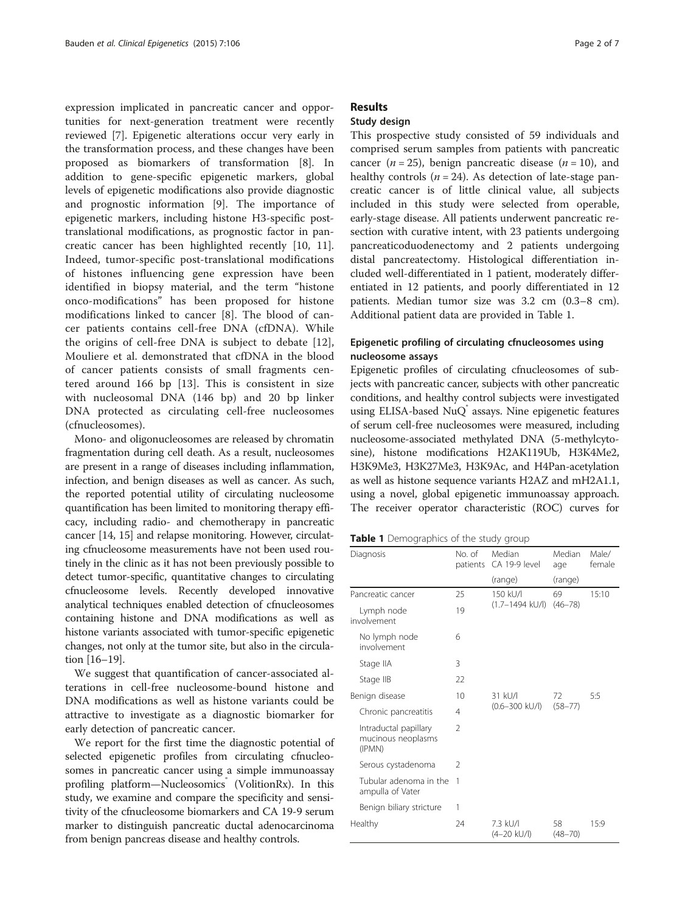expression implicated in pancreatic cancer and opportunities for next-generation treatment were recently reviewed [[7](#page-5-0)]. Epigenetic alterations occur very early in the transformation process, and these changes have been proposed as biomarkers of transformation [\[8](#page-5-0)]. In addition to gene-specific epigenetic markers, global levels of epigenetic modifications also provide diagnostic and prognostic information [\[9\]](#page-6-0). The importance of epigenetic markers, including histone H3-specific posttranslational modifications, as prognostic factor in pancreatic cancer has been highlighted recently [[10, 11](#page-6-0)]. Indeed, tumor-specific post-translational modifications of histones influencing gene expression have been identified in biopsy material, and the term "histone onco-modifications" has been proposed for histone modifications linked to cancer [[8\]](#page-5-0). The blood of cancer patients contains cell-free DNA (cfDNA). While the origins of cell-free DNA is subject to debate [\[12](#page-6-0)], Mouliere et al. demonstrated that cfDNA in the blood of cancer patients consists of small fragments centered around 166 bp [[13\]](#page-6-0). This is consistent in size with nucleosomal DNA (146 bp) and 20 bp linker DNA protected as circulating cell-free nucleosomes (cfnucleosomes).

Mono- and oligonucleosomes are released by chromatin fragmentation during cell death. As a result, nucleosomes are present in a range of diseases including inflammation, infection, and benign diseases as well as cancer. As such, the reported potential utility of circulating nucleosome quantification has been limited to monitoring therapy efficacy, including radio- and chemotherapy in pancreatic cancer [[14](#page-6-0), [15\]](#page-6-0) and relapse monitoring. However, circulating cfnucleosome measurements have not been used routinely in the clinic as it has not been previously possible to detect tumor-specific, quantitative changes to circulating cfnucleosome levels. Recently developed innovative analytical techniques enabled detection of cfnucleosomes containing histone and DNA modifications as well as histone variants associated with tumor-specific epigenetic changes, not only at the tumor site, but also in the circulation [\[16](#page-6-0)–[19](#page-6-0)].

We suggest that quantification of cancer-associated alterations in cell-free nucleosome-bound histone and DNA modifications as well as histone variants could be attractive to investigate as a diagnostic biomarker for early detection of pancreatic cancer.

We report for the first time the diagnostic potential of selected epigenetic profiles from circulating cfnucleosomes in pancreatic cancer using a simple immunoassay profiling platform—Nucleosomics (VolitionRx). In this study, we examine and compare the specificity and sensitivity of the cfnucleosome biomarkers and CA 19-9 serum marker to distinguish pancreatic ductal adenocarcinoma from benign pancreas disease and healthy controls.

#### **Results**

## Study design

This prospective study consisted of 59 individuals and comprised serum samples from patients with pancreatic cancer ( $n = 25$ ), benign pancreatic disease ( $n = 10$ ), and healthy controls ( $n = 24$ ). As detection of late-stage pancreatic cancer is of little clinical value, all subjects included in this study were selected from operable, early-stage disease. All patients underwent pancreatic resection with curative intent, with 23 patients undergoing pancreaticoduodenectomy and 2 patients undergoing distal pancreatectomy. Histological differentiation included well-differentiated in 1 patient, moderately differentiated in 12 patients, and poorly differentiated in 12 patients. Median tumor size was 3.2 cm (0.3–8 cm). Additional patient data are provided in Table 1.

## Epigenetic profiling of circulating cfnucleosomes using nucleosome assays

Epigenetic profiles of circulating cfnucleosomes of subjects with pancreatic cancer, subjects with other pancreatic conditions, and healthy control subjects were investigated using ELISA-based NuQ assays. Nine epigenetic features of serum cell-free nucleosomes were measured, including nucleosome-associated methylated DNA (5-methylcytosine), histone modifications H2AK119Ub, H3K4Me2, H3K9Me3, H3K27Me3, H3K9Ac, and H4Pan-acetylation as well as histone sequence variants H2AZ and mH2A1.1, using a novel, global epigenetic immunoassay approach. The receiver operator characteristic (ROC) curves for

| Diagnosis                                             | No. of<br>patients | Median<br>CA 19-9 level         | Median<br>age     | Male/<br>female |
|-------------------------------------------------------|--------------------|---------------------------------|-------------------|-----------------|
|                                                       |                    | (range)                         | (range)           |                 |
| Pancreatic cancer                                     | 25                 | 150 kU/l<br>$(1.7 - 1494$ kU/l) | 69<br>$(46 - 78)$ | 15:10           |
| Lymph node<br>involvement                             | 19                 |                                 |                   |                 |
| No lymph node<br>involvement                          | 6                  |                                 |                   |                 |
| Stage IIA                                             | 3                  |                                 |                   |                 |
| Stage IIB                                             | 22                 |                                 |                   |                 |
| Benign disease                                        | 10                 | 31 kU/l<br>$(0.6 - 300$ kU/l)   | 72<br>$(58 - 77)$ | 5:5             |
| Chronic pancreatitis                                  | 4                  |                                 |                   |                 |
| Intraductal papillary<br>mucinous neoplasms<br>(IPMN) | $\mathfrak{D}$     |                                 |                   |                 |
| Serous cystadenoma                                    | $\mathfrak{D}$     |                                 |                   |                 |
| Tubular adenoma in the<br>ampulla of Vater            | $\mathbf{1}$       |                                 |                   |                 |
| Benign biliary stricture                              | 1                  |                                 |                   |                 |
| Healthy                                               | 24                 | 7.3 kU/L<br>$(4-20$ kU/l)       | 58<br>$(48 - 70)$ | 15:9            |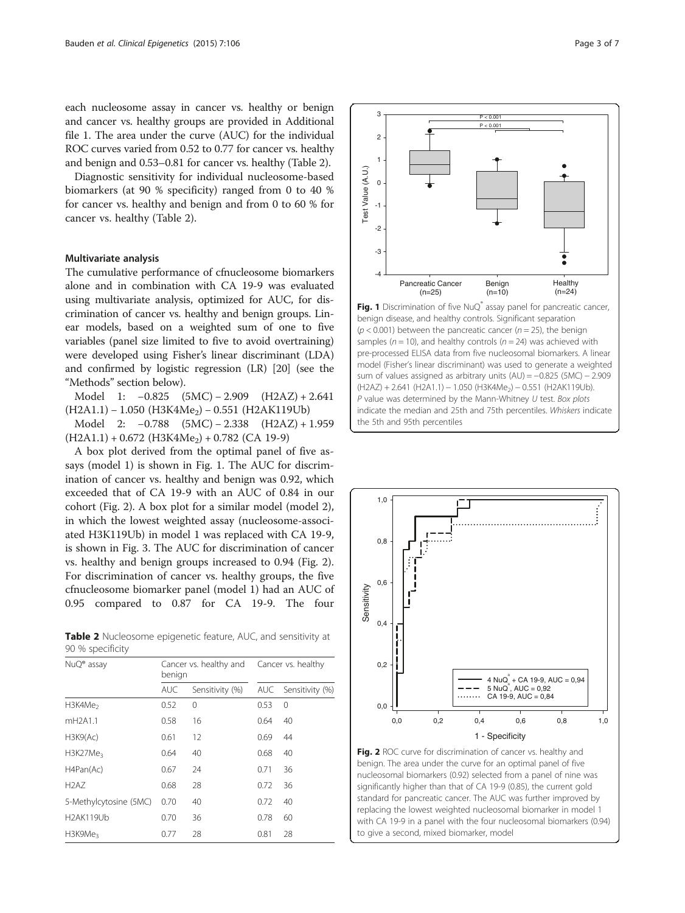each nucleosome assay in cancer vs. healthy or benign and cancer vs. healthy groups are provided in Additional file [1](#page-5-0). The area under the curve (AUC) for the individual ROC curves varied from 0.52 to 0.77 for cancer vs. healthy and benign and 0.53–0.81 for cancer vs. healthy (Table 2).

Diagnostic sensitivity for individual nucleosome-based biomarkers (at 90 % specificity) ranged from 0 to 40 % for cancer vs. healthy and benign and from 0 to 60 % for cancer vs. healthy (Table 2).

#### Multivariate analysis

The cumulative performance of cfnucleosome biomarkers alone and in combination with CA 19-9 was evaluated using multivariate analysis, optimized for AUC, for discrimination of cancer vs. healthy and benign groups. Linear models, based on a weighted sum of one to five variables (panel size limited to five to avoid overtraining) were developed using Fisher's linear discriminant (LDA) and confirmed by logistic regression (LR) [\[20\]](#page-6-0) (see the "[Methods](#page-4-0)" section below).

Model 1: −0.825 (5MC) − 2.909 (H2AZ) + 2.641  $(H2A1.1) - 1.050$  (H3K4Me<sub>2</sub>) – 0.551 (H2AK119Ub)

Model 2: −0.788 (5MC) − 2.338 (H2AZ) + 1.959  $(H2A1.1) + 0.672$   $(H3K4Me<sub>2</sub>) + 0.782$   $(CA 19-9)$ 

A box plot derived from the optimal panel of five assays (model 1) is shown in Fig. 1. The AUC for discrimination of cancer vs. healthy and benign was 0.92, which exceeded that of CA 19-9 with an AUC of 0.84 in our cohort (Fig. 2). A box plot for a similar model (model 2), in which the lowest weighted assay (nucleosome-associated H3K119Ub) in model 1 was replaced with CA 19-9, is shown in Fig. [3.](#page-3-0) The AUC for discrimination of cancer vs. healthy and benign groups increased to 0.94 (Fig. 2). For discrimination of cancer vs. healthy groups, the five cfnucleosome biomarker panel (model 1) had an AUC of 0.95 compared to 0.87 for CA 19-9. The four

Table 2 Nucleosome epigenetic feature, AUC, and sensitivity at 90 % specificity

| $NuQ^{\circ}$ assay              | benign     | Cancer vs. healthy and |      | Cancer vs. healthy |  |  |
|----------------------------------|------------|------------------------|------|--------------------|--|--|
|                                  | <b>AUC</b> | Sensitivity (%)        | AUC  | Sensitivity (%)    |  |  |
| H3K4Me <sub>2</sub>              | 0.52       | 0                      | 0.53 | 0                  |  |  |
| mH <sub>2</sub> A <sub>1.1</sub> | 0.58       | 16                     | 0.64 | 40                 |  |  |
| H3K9(Ac)                         | 0.61       | 12                     | 0.69 | 44                 |  |  |
| H3K27Me <sub>3</sub>             | 0.64       | 40                     | 0.68 | 40                 |  |  |
| H4Pan(Ac)                        | 0.67       | 24                     | 0.71 | 36                 |  |  |
| H <sub>2</sub> A <sub>7</sub>    | 0.68       | 28                     | 0.72 | 36                 |  |  |
| 5-Methylcytosine (5MC)           | 0.70       | 40                     | 0.72 | 40                 |  |  |
| <b>H2AK119Ub</b>                 | 0.70       | 36                     | 0.78 | 60                 |  |  |
| H3K9Me3                          | 0.77       | 28                     | 0.81 | 28                 |  |  |



Fig. 1 Discrimination of five NuQ<sup>®</sup> assay panel for pancreatic cancer, benign disease, and healthy controls. Significant separation  $(p < 0.001)$  between the pancreatic cancer ( $n = 25$ ), the benign samples ( $n = 10$ ), and healthy controls ( $n = 24$ ) was achieved with pre-processed ELISA data from five nucleosomal biomarkers. A linear model (Fisher's linear discriminant) was used to generate a weighted sum of values assigned as arbitrary units (AU) = -0.825 (5MC) - 2.909 (H2AZ) + 2.641 (H2A1.1) − 1.050 (H3K4Me2) − 0.551 (H2AK119Ub). P value was determined by the Mann-Whitney U test. Box plots indicate the median and 25th and 75th percentiles. Whiskers indicate the 5th and 95th percentiles



Fig. 2 ROC curve for discrimination of cancer vs. healthy and benign. The area under the curve for an optimal panel of five nucleosomal biomarkers (0.92) selected from a panel of nine was significantly higher than that of CA 19-9 (0.85), the current gold standard for pancreatic cancer. The AUC was further improved by replacing the lowest weighted nucleosomal biomarker in model 1 with CA 19-9 in a panel with the four nucleosomal biomarkers (0.94) to give a second, mixed biomarker, model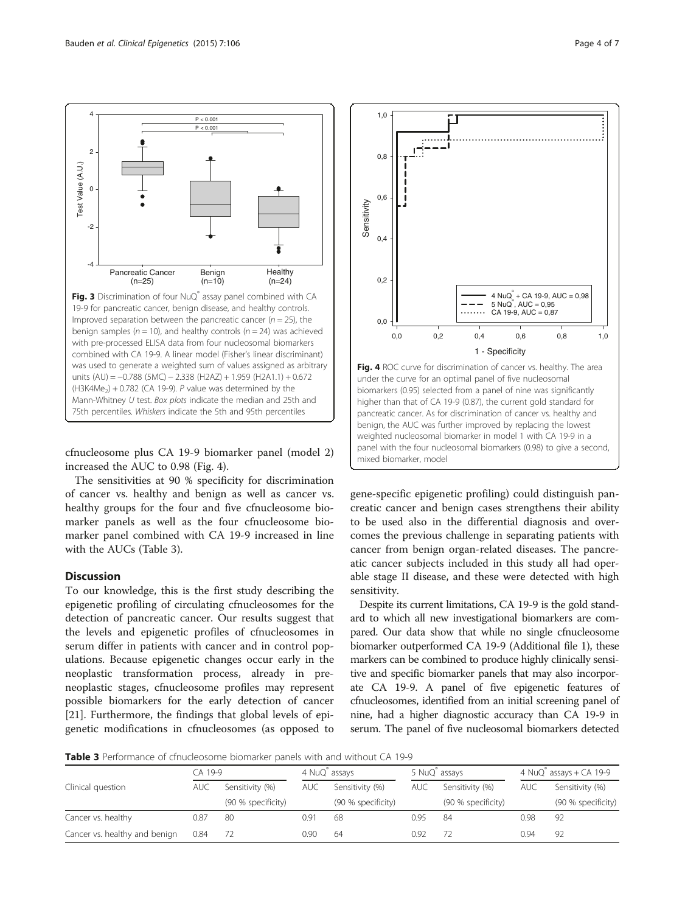Fig. 3 Discrimination of four NuQ® assay panel combined with CA 19-9 for pancreatic cancer, benign disease, and healthy controls.

Healthy  $(n=24)$ 

1,0

Improved separation between the pancreatic cancer ( $n = 25$ ), the benign samples ( $n = 10$ ), and healthy controls ( $n = 24$ ) was achieved with pre-processed ELISA data from four nucleosomal biomarkers combined with CA 19-9. A linear model (Fisher's linear discriminant) was used to generate a weighted sum of values assigned as arbitrary units (AU) = −0.788 (5MC) − 2.338 (H2AZ) + 1.959 (H2A1.1) + 0.672  $(H3K4Me<sub>2</sub>) + 0.782$  (CA 19-9). P value was determined by the Mann-Whitney U test. Box plots indicate the median and 25th and 75th percentiles. Whiskers indicate the 5th and 95th percentiles

Benign  $(n=10)$ 

 $P < 0.001$  $P < 0.001$ 

cfnucleosome plus CA 19-9 biomarker panel (model 2) increased the AUC to 0.98 (Fig. 4).

The sensitivities at 90 % specificity for discrimination of cancer vs. healthy and benign as well as cancer vs. healthy groups for the four and five cfnucleosome biomarker panels as well as the four cfnucleosome biomarker panel combined with CA 19-9 increased in line with the AUCs (Table 3).

## **Discussion**

Test Value (A.U.)

est Value (A.U.)

-4

Pancreatic Cancer  $(n=25)$ 

-2

 $\Omega$ 

2

<span id="page-3-0"></span>4

To our knowledge, this is the first study describing the epigenetic profiling of circulating cfnucleosomes for the detection of pancreatic cancer. Our results suggest that the levels and epigenetic profiles of cfnucleosomes in serum differ in patients with cancer and in control populations. Because epigenetic changes occur early in the neoplastic transformation process, already in preneoplastic stages, cfnucleosome profiles may represent possible biomarkers for the early detection of cancer [[21\]](#page-6-0). Furthermore, the findings that global levels of epigenetic modifications in cfnucleosomes (as opposed to

gene-specific epigenetic profiling) could distinguish pancreatic cancer and benign cases strengthens their ability to be used also in the differential diagnosis and overcomes the previous challenge in separating patients with cancer from benign organ-related diseases. The pancreatic cancer subjects included in this study all had operable stage II disease, and these were detected with high sensitivity.

Despite its current limitations, CA 19-9 is the gold standard to which all new investigational biomarkers are compared. Our data show that while no single cfnucleosome biomarker outperformed CA 19-9 (Additional file [1](#page-5-0)), these markers can be combined to produce highly clinically sensitive and specific biomarker panels that may also incorporate CA 19-9. A panel of five epigenetic features of cfnucleosomes, identified from an initial screening panel of nine, had a higher diagnostic accuracy than CA 19-9 in serum. The panel of five nucleosomal biomarkers detected

Table 3 Performance of cfnucleosome biomarker panels with and without CA 19-9

|                               | CA 19-9 |                    | 4 NuQ assays |                    | 5 NuQ assays |                    | 4 NuQ® assays + CA 19-9 |                    |
|-------------------------------|---------|--------------------|--------------|--------------------|--------------|--------------------|-------------------------|--------------------|
| Clinical question             | AUC     | Sensitivity (%)    | <b>AUC</b>   | Sensitivity (%)    | <b>AUC</b>   | Sensitivity (%)    | <b>AUC</b>              | Sensitivity (%)    |
|                               |         | (90 % specificity) |              | (90 % specificity) |              | (90 % specificity) |                         | (90 % specificity) |
| Cancer vs. healthy            | 0.87    | 80                 | 0.9          | 68                 | 0.95         | 84                 | 0.98                    | 92                 |
| Cancer vs. healthy and benign | 0.84    |                    | 0.90         | 64                 | 0.92         |                    | 0.94                    | 92                 |

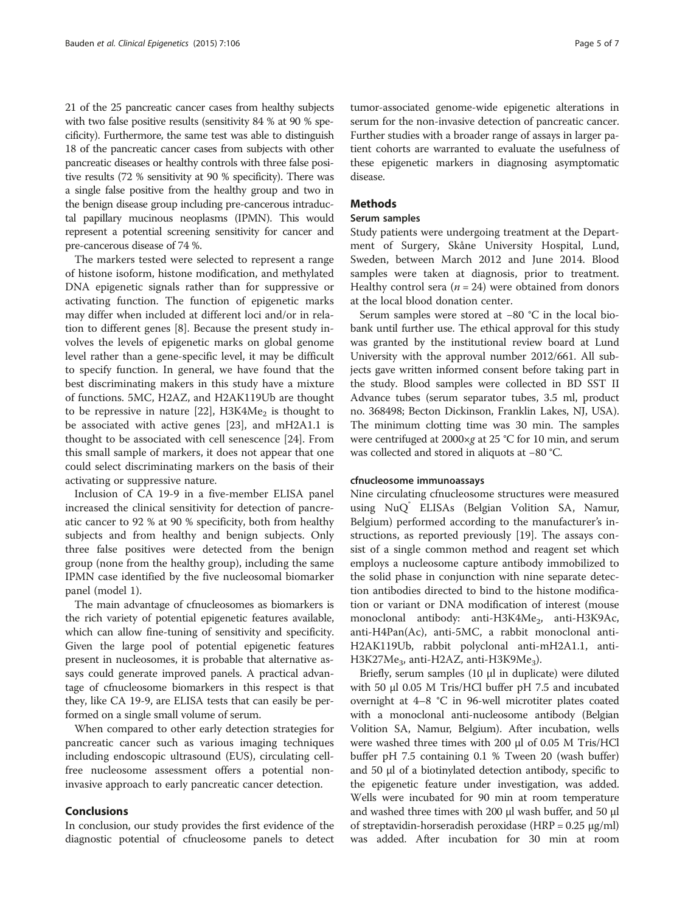<span id="page-4-0"></span>21 of the 25 pancreatic cancer cases from healthy subjects with two false positive results (sensitivity 84 % at 90 % specificity). Furthermore, the same test was able to distinguish 18 of the pancreatic cancer cases from subjects with other pancreatic diseases or healthy controls with three false positive results (72 % sensitivity at 90 % specificity). There was a single false positive from the healthy group and two in the benign disease group including pre-cancerous intraductal papillary mucinous neoplasms (IPMN). This would represent a potential screening sensitivity for cancer and pre-cancerous disease of 74 %.

The markers tested were selected to represent a range of histone isoform, histone modification, and methylated DNA epigenetic signals rather than for suppressive or activating function. The function of epigenetic marks may differ when included at different loci and/or in relation to different genes [[8\]](#page-5-0). Because the present study involves the levels of epigenetic marks on global genome level rather than a gene-specific level, it may be difficult to specify function. In general, we have found that the best discriminating makers in this study have a mixture of functions. 5MC, H2AZ, and H2AK119Ub are thought to be repressive in nature [[22\]](#page-6-0),  $H3K4Me<sub>2</sub>$  is thought to be associated with active genes [[23](#page-6-0)], and mH2A1.1 is thought to be associated with cell senescence [\[24\]](#page-6-0). From this small sample of markers, it does not appear that one could select discriminating markers on the basis of their activating or suppressive nature.

Inclusion of CA 19-9 in a five-member ELISA panel increased the clinical sensitivity for detection of pancreatic cancer to 92 % at 90 % specificity, both from healthy subjects and from healthy and benign subjects. Only three false positives were detected from the benign group (none from the healthy group), including the same IPMN case identified by the five nucleosomal biomarker panel (model 1).

The main advantage of cfnucleosomes as biomarkers is the rich variety of potential epigenetic features available, which can allow fine-tuning of sensitivity and specificity. Given the large pool of potential epigenetic features present in nucleosomes, it is probable that alternative assays could generate improved panels. A practical advantage of cfnucleosome biomarkers in this respect is that they, like CA 19-9, are ELISA tests that can easily be performed on a single small volume of serum.

When compared to other early detection strategies for pancreatic cancer such as various imaging techniques including endoscopic ultrasound (EUS), circulating cellfree nucleosome assessment offers a potential noninvasive approach to early pancreatic cancer detection.

#### Conclusions

In conclusion, our study provides the first evidence of the diagnostic potential of cfnucleosome panels to detect

tumor-associated genome-wide epigenetic alterations in serum for the non-invasive detection of pancreatic cancer. Further studies with a broader range of assays in larger patient cohorts are warranted to evaluate the usefulness of these epigenetic markers in diagnosing asymptomatic disease.

## **Methods**

#### Serum samples

Study patients were undergoing treatment at the Department of Surgery, Skåne University Hospital, Lund, Sweden, between March 2012 and June 2014. Blood samples were taken at diagnosis, prior to treatment. Healthy control sera ( $n = 24$ ) were obtained from donors at the local blood donation center.

Serum samples were stored at −80 °C in the local biobank until further use. The ethical approval for this study was granted by the institutional review board at Lund University with the approval number 2012/661. All subjects gave written informed consent before taking part in the study. Blood samples were collected in BD SST II Advance tubes (serum separator tubes, 3.5 ml, product no. 368498; Becton Dickinson, Franklin Lakes, NJ, USA). The minimum clotting time was 30 min. The samples were centrifuged at 2000×g at 25 °C for 10 min, and serum was collected and stored in aliquots at −80 °C.

#### cfnucleosome immunoassays

Nine circulating cfnucleosome structures were measured using NuQ ELISAs (Belgian Volition SA, Namur, Belgium) performed according to the manufacturer's instructions, as reported previously [[19\]](#page-6-0). The assays consist of a single common method and reagent set which employs a nucleosome capture antibody immobilized to the solid phase in conjunction with nine separate detection antibodies directed to bind to the histone modification or variant or DNA modification of interest (mouse monoclonal antibody: anti-H3K4Me<sub>2</sub>, anti-H3K9Ac, anti-H4Pan(Ac), anti-5MC, a rabbit monoclonal anti-H2AK119Ub, rabbit polyclonal anti-mH2A1.1, anti- $H3K27Me<sub>3</sub>$ , anti-H2AZ, anti-H3K9Me<sub>3</sub>).

Briefly, serum samples (10 μl in duplicate) were diluted with 50 μl 0.05 M Tris/HCl buffer pH 7.5 and incubated overnight at 4–8 °C in 96-well microtiter plates coated with a monoclonal anti-nucleosome antibody (Belgian Volition SA, Namur, Belgium). After incubation, wells were washed three times with 200 μl of 0.05 M Tris/HCl buffer pH 7.5 containing 0.1 % Tween 20 (wash buffer) and 50 μl of a biotinylated detection antibody, specific to the epigenetic feature under investigation, was added. Wells were incubated for 90 min at room temperature and washed three times with 200 μl wash buffer, and 50 μl of streptavidin-horseradish peroxidase (HRP = 0.25 μg/ml) was added. After incubation for 30 min at room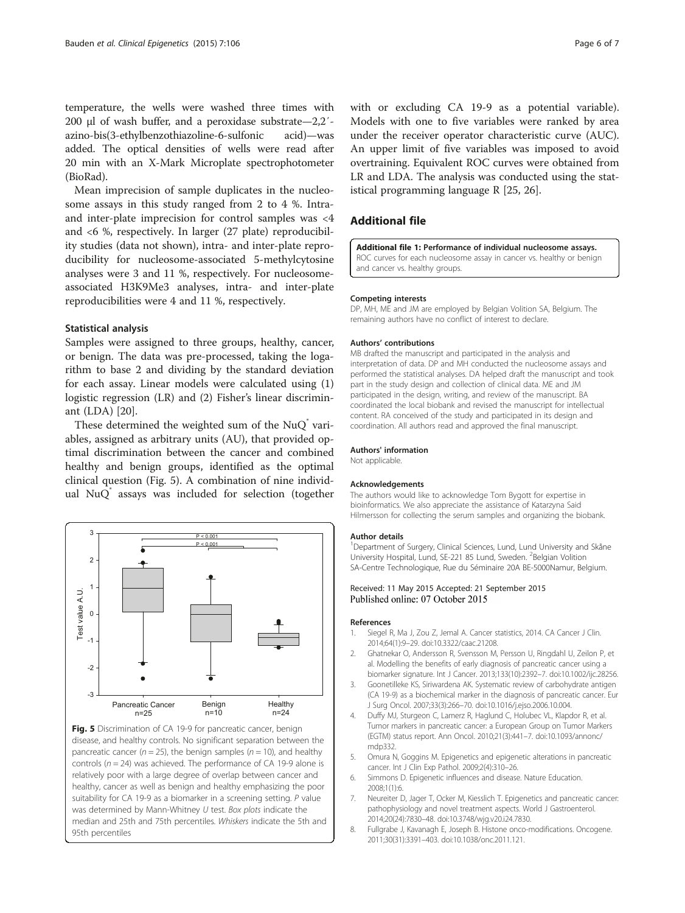<span id="page-5-0"></span>temperature, the wells were washed three times with 200 μl of wash buffer, and a peroxidase substrate—2,2′ azino-bis(3-ethylbenzothiazoline-6-sulfonic acid)—was added. The optical densities of wells were read after 20 min with an X-Mark Microplate spectrophotometer (BioRad).

Mean imprecision of sample duplicates in the nucleosome assays in this study ranged from 2 to 4 %. Intraand inter-plate imprecision for control samples was <4 and <6 %, respectively. In larger (27 plate) reproducibility studies (data not shown), intra- and inter-plate reproducibility for nucleosome-associated 5-methylcytosine analyses were 3 and 11 %, respectively. For nucleosomeassociated H3K9Me3 analyses, intra- and inter-plate reproducibilities were 4 and 11 %, respectively.

#### Statistical analysis

Samples were assigned to three groups, healthy, cancer, or benign. The data was pre-processed, taking the logarithm to base 2 and dividing by the standard deviation for each assay. Linear models were calculated using (1) logistic regression (LR) and (2) Fisher's linear discriminant (LDA) [[20](#page-6-0)].

These determined the weighted sum of the  $NuQ^{\dagger}$  variables, assigned as arbitrary units (AU), that provided optimal discrimination between the cancer and combined healthy and benign groups, identified as the optimal clinical question (Fig. 5). A combination of nine individual NuQ° assays was included for selection (together



Fig. 5 Discrimination of CA 19-9 for pancreatic cancer, benign disease, and healthy controls. No significant separation between the pancreatic cancer ( $n = 25$ ), the benign samples ( $n = 10$ ), and healthy controls ( $n = 24$ ) was achieved. The performance of CA 19-9 alone is relatively poor with a large degree of overlap between cancer and healthy, cancer as well as benign and healthy emphasizing the poor suitability for CA 19-9 as a biomarker in a screening setting. P value was determined by Mann-Whitney U test. Box plots indicate the median and 25th and 75th percentiles. Whiskers indicate the 5th and 95th percentiles

with or excluding CA 19-9 as a potential variable). Models with one to five variables were ranked by area under the receiver operator characteristic curve (AUC). An upper limit of five variables was imposed to avoid overtraining. Equivalent ROC curves were obtained from LR and LDA. The analysis was conducted using the statistical programming language R [[25, 26\]](#page-6-0).

#### Additional file

[Additional file 1:](http://www.clinicalepigeneticsjournal.com/content/supplementary/s13148-015-0139-4-s1.pdf) Performance of individual nucleosome assays. ROC curves for each nucleosome assay in cancer vs. healthy or benign and cancer vs. healthy groups.

#### Competing interests

DP, MH, ME and JM are employed by Belgian Volition SA, Belgium. The remaining authors have no conflict of interest to declare.

#### Authors' contributions

MB drafted the manuscript and participated in the analysis and interpretation of data. DP and MH conducted the nucleosome assays and performed the statistical analyses. DA helped draft the manuscript and took part in the study design and collection of clinical data. ME and JM participated in the design, writing, and review of the manuscript. BA coordinated the local biobank and revised the manuscript for intellectual content. RA conceived of the study and participated in its design and coordination. All authors read and approved the final manuscript.

#### Authors' information

Not applicable.

#### Acknowledgements

The authors would like to acknowledge Tom Bygott for expertise in bioinformatics. We also appreciate the assistance of Katarzyna Said Hilmersson for collecting the serum samples and organizing the biobank.

#### Author details

<sup>1</sup>Department of Surgery, Clinical Sciences, Lund, Lund University and Skåne University Hospital, Lund, SE-221 85 Lund, Sweden. <sup>2</sup>Belgian Volition SA-Centre Technologique, Rue du Séminaire 20A BE-5000Namur, Belgium.

#### Received: 11 May 2015 Accepted: 21 September 2015 Published online: 07 October 2015

#### References

- 1. Siegel R, Ma J, Zou Z, Jemal A. Cancer statistics, 2014. CA Cancer J Clin. 2014;64(1):9–29. doi[:10.3322/caac.21208](http://dx.doi.org/10.3322/caac.21208).
- 2. Ghatnekar O, Andersson R, Svensson M, Persson U, Ringdahl U, Zeilon P, et al. Modelling the benefits of early diagnosis of pancreatic cancer using a biomarker signature. Int J Cancer. 2013;133(10):2392–7. doi[:10.1002/ijc.28256.](http://dx.doi.org/10.1002/ijc.28256)
- 3. Goonetilleke KS, Siriwardena AK. Systematic review of carbohydrate antigen (CA 19-9) as a biochemical marker in the diagnosis of pancreatic cancer. Eur J Surg Oncol. 2007;33(3):266–70. doi:[10.1016/j.ejso.2006.10.004](http://dx.doi.org/10.1016/j.ejso.2006.10.004).
- 4. Duffy MJ, Sturgeon C, Lamerz R, Haglund C, Holubec VL, Klapdor R, et al. Tumor markers in pancreatic cancer: a European Group on Tumor Markers (EGTM) status report. Ann Oncol. 2010;21(3):441–7. doi[:10.1093/annonc/](http://dx.doi.org/10.1093/annonc/mdp332) [mdp332](http://dx.doi.org/10.1093/annonc/mdp332).
- 5. Omura N, Goggins M. Epigenetics and epigenetic alterations in pancreatic cancer. Int J Clin Exp Pathol. 2009;2(4):310–26.
- 6. Simmons D. Epigenetic influences and disease. Nature Education. 2008;1(1):6.
- 7. Neureiter D, Jager T, Ocker M, Kiesslich T. Epigenetics and pancreatic cancer: pathophysiology and novel treatment aspects. World J Gastroenterol. 2014;20(24):7830–48. doi:[10.3748/wjg.v20.i24.7830.](http://dx.doi.org/10.3748/wjg.v20.i24.7830)
- 8. Fullgrabe J, Kavanagh E, Joseph B. Histone onco-modifications. Oncogene. 2011;30(31):3391–403. doi[:10.1038/onc.2011.121](http://dx.doi.org/10.1038/onc.2011.121).